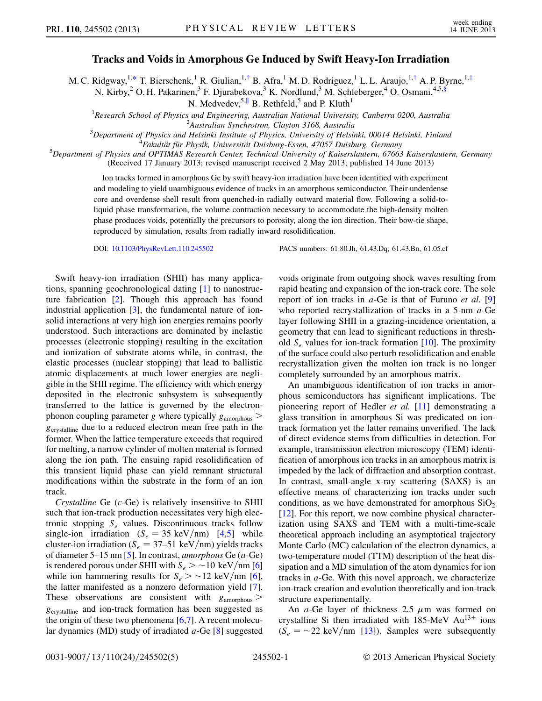## Tracks and Voids in Amorphous Ge Induced by Swift Heavy-Ion Irradiation

<span id="page-0-2"></span><span id="page-0-1"></span><span id="page-0-0"></span>M. C. Ridgway,<sup>1,[\\*](#page-4-0)</sup> T. Bierschenk,<sup>1</sup> R. Giulian,<sup>1[,†](#page-4-1)</sup> B. Afra,<sup>1</sup> M. D. Rodriguez,<sup>1</sup> L. L. Araujo,<sup>1,†</sup> A. P. Byrne,<sup>1[,‡](#page-4-2)</sup>

N. Kirby,<sup>2</sup> O. H. Pakarinen,<sup>3</sup> F. Djurabekova,<sup>3</sup> K. Nordlund,<sup>3</sup> M. Schleberger,<sup>4</sup> O. Osmani,<sup>4,5,[§](#page-4-3)</sup>

N. Medvedev,<sup>5,[∥](#page-4-4)</sup> B. Rethfeld,<sup>5</sup> and P. Kluth<sup>1</sup>

<sup>1</sup> Research School of Physics and Engineering, Australian National University, Canberra 0200, Australia  ${}^{2}$ Australian Synchrotron, Clayton 3168, Australia

 ${}^{3}$ Department of Physics and Helsinki Institute of Physics, University of Helsinki, 00014 Helsinki, Finland

<sup>4</sup>Fakultät für Physik, Universität Duisburg-Essen, 47057 Duisburg, Germany

 $^5$ Department of Physics and OPTIMAS Research Center, Technical University of Kaiserslautern, 67663 Kaiserslautern, Germany (Received 17 January 2013; revised manuscript received 2 May 2013; published 14 June 2013)

Ion tracks formed in amorphous Ge by swift heavy-ion irradiation have been identified with experiment and modeling to yield unambiguous evidence of tracks in an amorphous semiconductor. Their underdense core and overdense shell result from quenched-in radially outward material flow. Following a solid-toliquid phase transformation, the volume contraction necessary to accommodate the high-density molten phase produces voids, potentially the precursors to porosity, along the ion direction. Their bow-tie shape, reproduced by simulation, results from radially inward resolidification.

DOI: [10.1103/PhysRevLett.110.245502](http://dx.doi.org/10.1103/PhysRevLett.110.245502) PACS numbers: 61.80.Jh, 61.43.Dq, 61.43.Bn, 61.05.cf

Swift heavy-ion irradiation (SHII) has many applications, spanning geochronological dating [\[1](#page-4-5)] to nanostructure fabrication [[2](#page-4-6)]. Though this approach has found industrial application  $[3]$ , the fundamental nature of ionsolid interactions at very high ion energies remains poorly understood. Such interactions are dominated by inelastic processes (electronic stopping) resulting in the excitation and ionization of substrate atoms while, in contrast, the elastic processes (nuclear stopping) that lead to ballistic atomic displacements at much lower energies are negligible in the SHII regime. The efficiency with which energy deposited in the electronic subsystem is subsequently transferred to the lattice is governed by the electronphonon coupling parameter g where typically  $g_{\text{amorphous}}$  >  $g_{\text{crystalline}}$  due to a reduced electron mean free path in the former. When the lattice temperature exceeds that required for melting, a narrow cylinder of molten material is formed along the ion path. The ensuing rapid resolidification of this transient liquid phase can yield remnant structural modifications within the substrate in the form of an ion track.

Crystalline Ge (c-Ge) is relatively insensitive to SHII such that ion-track production necessitates very high electronic stopping  $S_e$  values. Discontinuous tracks follow single-ion irradiation  $(S_e = 35 \text{ keV/nm})$  [\[4](#page-4-8)[,5\]](#page-4-9) while cluster-ion irradiation ( $S_e = 37-51 \text{ keV/nm}$ ) yields tracks of diameter 5–15 nm [\[5\]](#page-4-9). In contrast, *amorphous* Ge  $(a$ -Ge) is rendered porous under SHII with  $S_e > \sim 10 \text{ keV/nm}$  [\[6\]](#page-4-10) while ion hammering results for  $S_e > \sim 12 \text{ keV/nm }[6]$  $S_e > \sim 12 \text{ keV/nm }[6]$ , the latter manifested as a nonzero deformation yield [[7\]](#page-4-11). These observations are consistent with  $g_{\text{amorphous}}$ <sup>g</sup>crystalline and ion-track formation has been suggested as the origin of these two phenomena  $[6,7]$  $[6,7]$  $[6,7]$ . A recent molecular dynamics (MD) study of irradiated  $a$ -Ge  $[8]$  $[8]$  suggested voids originate from outgoing shock waves resulting from rapid heating and expansion of the ion-track core. The sole report of ion tracks in  $a$ -Ge is that of Furuno *et al.* [\[9\]](#page-4-13) who reported recrystallization of tracks in a 5-nm a-Ge layer following SHII in a grazing-incidence orientation, a geometry that can lead to significant reductions in threshold  $S_e$  values for ion-track formation [\[10\]](#page-4-14). The proximity of the surface could also perturb resolidification and enable recrystallization given the molten ion track is no longer completely surrounded by an amorphous matrix.

An unambiguous identification of ion tracks in amorphous semiconductors has significant implications. The pioneering report of Hedler et al. [[11](#page-4-15)] demonstrating a glass transition in amorphous Si was predicated on iontrack formation yet the latter remains unverified. The lack of direct evidence stems from difficulties in detection. For example, transmission electron microscopy (TEM) identification of amorphous ion tracks in an amorphous matrix is impeded by the lack of diffraction and absorption contrast. In contrast, small-angle x-ray scattering (SAXS) is an effective means of characterizing ion tracks under such conditions, as we have demonstrated for amorphous  $SiO<sub>2</sub>$ [\[12\]](#page-4-16). For this report, we now combine physical characterization using SAXS and TEM with a multi-time-scale theoretical approach including an asymptotical trajectory Monte Carlo (MC) calculation of the electron dynamics, a two-temperature model (TTM) description of the heat dissipation and a MD simulation of the atom dynamics for ion tracks in  $a$ -Ge. With this novel approach, we characterize ion-track creation and evolution theoretically and ion-track structure experimentally.

An *a*-Ge layer of thickness 2.5  $\mu$ m was formed on crystalline Si then irradiated with  $185$ -MeV Au<sup>13+</sup> ions  $(S_e = -22 \text{ keV/nm } [13])$  $(S_e = -22 \text{ keV/nm } [13])$  $(S_e = -22 \text{ keV/nm } [13])$ . Samples were subsequently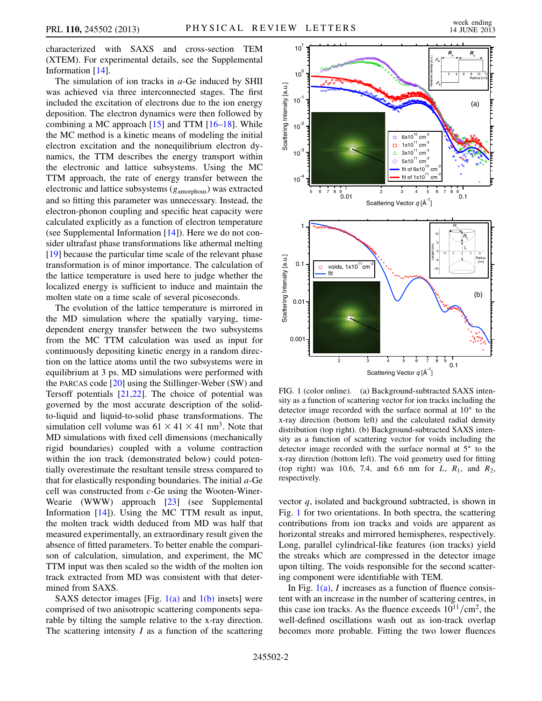characterized with SAXS and cross-section TEM (XTEM). For experimental details, see the Supplemental Information [[14\]](#page-4-18).

The simulation of ion tracks in  $a$ -Ge induced by SHII was achieved via three interconnected stages. The first included the excitation of electrons due to the ion energy deposition. The electron dynamics were then followed by combining a MC approach  $[15]$  $[15]$  and TTM  $[16-18]$  $[16-18]$  $[16-18]$  $[16-18]$ . While the MC method is a kinetic means of modeling the initial electron excitation and the nonequilibrium electron dynamics, the TTM describes the energy transport within the electronic and lattice subsystems. Using the MC TTM approach, the rate of energy transfer between the electronic and lattice subsystems  $(g_{\text{amorphous}})$  was extracted and so fitting this parameter was unnecessary. Instead, the electron-phonon coupling and specific heat capacity were calculated explicitly as a function of electron temperature (see Supplemental Information  $[14]$ ). Here we do not consider ultrafast phase transformations like athermal melting [\[19\]](#page-4-22) because the particular time scale of the relevant phase transformation is of minor importance. The calculation of the lattice temperature is used here to judge whether the localized energy is sufficient to induce and maintain the molten state on a time scale of several picoseconds.

The evolution of the lattice temperature is mirrored in the MD simulation where the spatially varying, timedependent energy transfer between the two subsystems from the MC TTM calculation was used as input for continuously depositing kinetic energy in a random direction on the lattice atoms until the two subsystems were in equilibrium at 3 ps. MD simulations were performed with the PARCAS code [\[20\]](#page-4-23) using the Stillinger-Weber (SW) and Tersoff potentials  $[21,22]$  $[21,22]$ . The choice of potential was governed by the most accurate description of the solidto-liquid and liquid-to-solid phase transformations. The simulation cell volume was  $61 \times 41 \times 41$  nm<sup>3</sup>. Note that MD simulations with fixed cell dimensions (mechanically rigid boundaries) coupled with a volume contraction within the ion track (demonstrated below) could potentially overestimate the resultant tensile stress compared to that for elastically responding boundaries. The initial  $a$ -Ge cell was constructed from c-Ge using the Wooten-Winer-Wearie (WWW) approach [\[23\]](#page-4-26) (see Supplemental Information [\[14\]](#page-4-18)). Using the MC TTM result as input, the molten track width deduced from MD was half that measured experimentally, an extraordinary result given the absence of fitted parameters. To better enable the comparison of calculation, simulation, and experiment, the MC TTM input was then scaled so the width of the molten ion track extracted from MD was consistent with that determined from SAXS.

SAXS detector images [Fig.  $1(a)$  and  $1(b)$  insets] were comprised of two anisotropic scattering components separable by tilting the sample relative to the x-ray direction. The scattering intensity  $I$  as a function of the scattering

<span id="page-1-1"></span>

<span id="page-1-0"></span>FIG. 1 (color online). (a) Background-subtracted SAXS intensity as a function of scattering vector for ion tracks including the detector image recorded with the surface normal at  $10^{\circ}$  to the x-ray direction (bottom left) and the calculated radial density distribution (top right). (b) Background-subtracted SAXS intensity as a function of scattering vector for voids including the detector image recorded with the surface normal at  $5^{\circ}$  to the x-ray direction (bottom left). The void geometry used for fitting (top right) was 10.6, 7.4, and 6.6 nm for  $L$ ,  $R_1$ , and  $R_2$ , respectively.

vector  $q$ , isolated and background subtracted, is shown in Fig. [1](#page-1-1) for two orientations. In both spectra, the scattering contributions from ion tracks and voids are apparent as horizontal streaks and mirrored hemispheres, respectively. Long, parallel cylindrical-like features (ion tracks) yield the streaks which are compressed in the detector image upon tilting. The voids responsible for the second scattering component were identifiable with TEM.

In Fig.  $1(a)$ , *I* increases as a function of fluence consistent with an increase in the number of scattering centres, in this case ion tracks. As the fluence exceeds  $10^{11}/\text{cm}^2$ , the well-defined oscillations wash out as ion-track overlap becomes more probable. Fitting the two lower fluences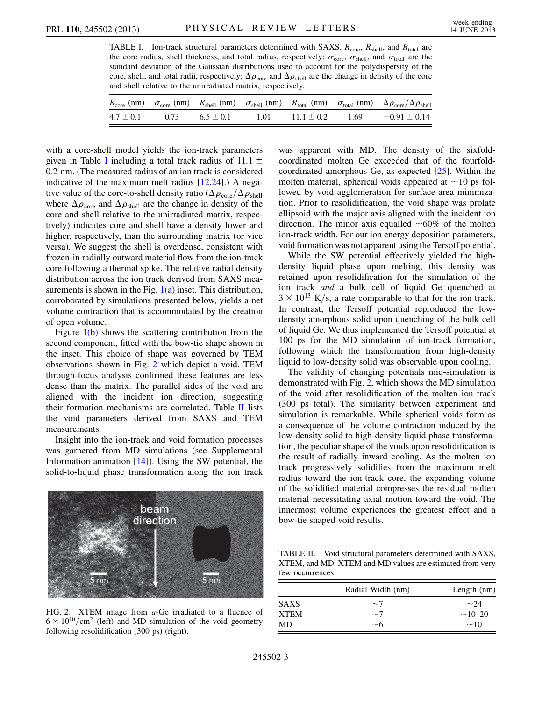<span id="page-2-0"></span>TABLE I. Ion-track structural parameters determined with SAXS.  $R_{\text{core}}$ ,  $R_{\text{shell}}$ , and  $R_{\text{total}}$  are the core radius, shell thickness, and total radius, respectively;  $\sigma_{\text{core}}$ ,  $\sigma_{\text{shell}}$ , and  $\sigma_{\text{total}}$  are the standard deviation of the Gaussian distributions used to account for the polydispersity of the core, shell, and total radii, respectively;  $\Delta \rho_{\text{core}}$  and  $\Delta \rho_{\text{shell}}$  are the change in density of the core and shell relative to the unirradiated matrix respectively and shell relative to the unirradiated matrix, respectively.

|               |      |               |      |                |      | $R_{\rm core}$ (nm) $\sigma_{\rm core}$ (nm) $R_{\rm shell}$ (nm) $\sigma_{\rm shell}$ (nm) $R_{\rm total}$ (nm) $\sigma_{\rm total}$ (nm) $\Delta \rho_{\rm core}/\Delta \rho_{\rm shell}$ |
|---------------|------|---------------|------|----------------|------|---------------------------------------------------------------------------------------------------------------------------------------------------------------------------------------------|
| $4.7 \pm 0.1$ | 0.73 | $6.5 \pm 0.1$ | 1.01 | $11.1 \pm 0.2$ | 1.69 | $-0.91 \pm 0.14$                                                                                                                                                                            |

with a core-shell model yields the ion-track parameters given in Table [I](#page-2-0) including a total track radius of 11.1  $\pm$ <sup>0</sup>:2 nm. (The measured radius of an ion track is considered indicative of the maximum melt radius  $[12,24]$  $[12,24]$ .) A negative value of the core-to-shell density ratio  $(\Delta \rho_{\rm core}/\Delta \rho_{\rm shell})$ <br>where  $\Delta \rho_{\rm can}$  and  $\Delta \rho_{\rm can}$  are the change in density of the where  $\Delta \rho_{\text{core}}$  and  $\Delta \rho_{\text{shell}}$  are the change in density of the core and shell relative to the unitradiated matrix respeccore and shell relative to the unirradiated matrix, respectively) indicates core and shell have a density lower and higher, respectively, than the surrounding matrix (or vice versa). We suggest the shell is overdense, consistent with frozen-in radially outward material flow from the ion-track core following a thermal spike. The relative radial density distribution across the ion track derived from SAXS measurements is shown in the Fig.  $1(a)$  inset. This distribution, corroborated by simulations presented below, yields a net volume contraction that is accommodated by the creation of open volume.

Figure  $1(b)$  shows the scattering contribution from the second component, fitted with the bow-tie shape shown in the inset. This choice of shape was governed by TEM observations shown in Fig. [2](#page-2-1) which depict a void. TEM through-focus analysis confirmed these features are less dense than the matrix. The parallel sides of the void are aligned with the incident ion direction, suggesting their formation mechanisms are correlated. Table [II](#page-2-2) lists the void parameters derived from SAXS and TEM measurements.

Insight into the ion-track and void formation processes was garnered from MD simulations (see Supplemental Information animation [\[14\]](#page-4-18)). Using the SW potential, the solid-to-liquid phase transformation along the ion track

<span id="page-2-1"></span>

FIG. 2. XTEM image from a-Ge irradiated to a fluence of  $6 \times 10^{10}/\text{cm}^2$  (left) and MD simulation of the void geometry following resolidification (300 ps) (right) following resolidification (300 ps) (right).

was apparent with MD. The density of the sixfoldcoordinated molten Ge exceeded that of the fourfoldcoordinated amorphous Ge, as expected [\[25\]](#page-4-28). Within the molten material, spherical voids appeared at  $\sim$ 10 ps followed by void agglomeration for surface-area minimization. Prior to resolidification, the void shape was prolate ellipsoid with the major axis aligned with the incident ion direction. The minor axis equalled  $\sim 60\%$  of the molten ion-track width. For our ion energy deposition parameters, void formation was not apparent using the Tersoff potential.

While the SW potential effectively yielded the highdensity liquid phase upon melting, this density was retained upon resolidification for the simulation of the ion track and a bulk cell of liquid Ge quenched at  $3 \times 10^{13}$  K/s, a rate comparable to that for the ion track.<br>In contrast, the Tersoff potential reproduced the low-In contrast, the Tersoff potential reproduced the lowdensity amorphous solid upon quenching of the bulk cell of liquid Ge. We thus implemented the Tersoff potential at 100 ps for the MD simulation of ion-track formation, following which the transformation from high-density liquid to low-density solid was observable upon cooling.

The validity of changing potentials mid-simulation is demonstrated with Fig. [2](#page-2-1), which shows the MD simulation of the void after resolidification of the molten ion track (300 ps total). The similarity between experiment and simulation is remarkable. While spherical voids form as a consequence of the volume contraction induced by the low-density solid to high-density liquid phase transformation, the peculiar shape of the voids upon resolidification is the result of radially inward cooling. As the molten ion track progressively solidifies from the maximum melt radius toward the ion-track core, the expanding volume of the solidified material compresses the residual molten material necessitating axial motion toward the void. The innermost volume experiences the greatest effect and a bow-tie shaped void results.

<span id="page-2-2"></span>TABLE II. Void structural parameters determined with SAXS, XTEM, and MD. XTEM and MD values are estimated from very few occurrences.

|             | Radial Width (nm) | Length $(nm)$ |
|-------------|-------------------|---------------|
| <b>SAXS</b> | $\sim$ 7          | $\sim$ 24     |
| <b>XTEM</b> | $\sim$ 7          | $\sim$ 10–20  |
| MD          | ~10               | $\sim$ 10     |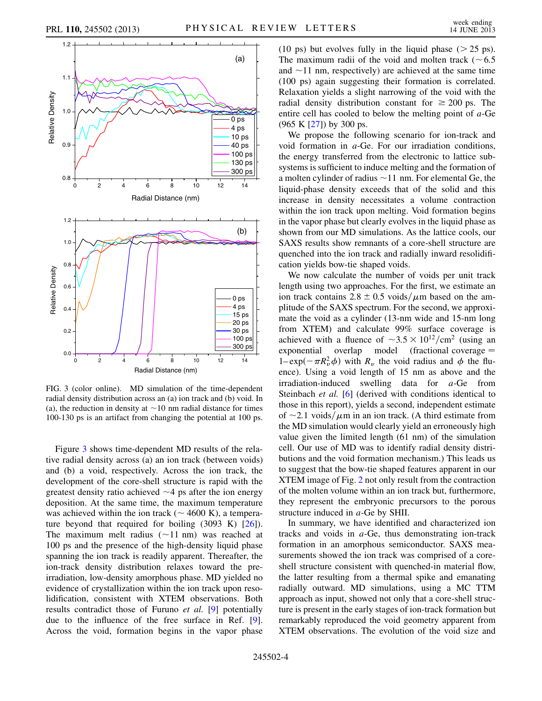<span id="page-3-0"></span>

FIG. 3 (color online). MD simulation of the time-dependent radial density distribution across an (a) ion track and (b) void. In (a), the reduction in density at  $\sim$  10 nm radial distance for times 100-130 ps is an artifact from changing the potential at 100 ps.

Figure [3](#page-3-0) shows time-dependent MD results of the relative radial density across (a) an ion track (between voids) and (b) a void, respectively. Across the ion track, the development of the core-shell structure is rapid with the greatest density ratio achieved  $\sim$  4 ps after the ion energy deposition. At the same time, the maximum temperature was achieved within the ion track ( $\sim$  4600 K), a temperature beyond that required for boiling (3093 K) [[26](#page-4-29)]). The maximum melt radius  $(\sim 11 \text{ nm})$  was reached at 100 ps and the presence of the high-density liquid phase spanning the ion track is readily apparent. Thereafter, the ion-track density distribution relaxes toward the preirradiation, low-density amorphous phase. MD yielded no evidence of crystallization within the ion track upon resolidification, consistent with XTEM observations. Both results contradict those of Furuno et al. [\[9\]](#page-4-13) potentially due to the influence of the free surface in Ref. [[9\]](#page-4-13). Across the void, formation begins in the vapor phase (10 ps) but evolves fully in the liquid phase  $(25 \text{ ps})$ . The maximum radii of the void and molten track ( $\sim 6.5$ ) and  $\sim$ 11 nm, respectively) are achieved at the same time (100 ps) again suggesting their formation is correlated. Relaxation yields a slight narrowing of the void with the radial density distribution constant for  $\geq 200$  ps. The entire cell has cooled to below the melting point of a-Ge (965 K [\[27\]](#page-4-30)) by 300 ps.

We propose the following scenario for ion-track and void formation in a-Ge. For our irradiation conditions, the energy transferred from the electronic to lattice subsystems is sufficient to induce melting and the formation of a molten cylinder of radius  $\sim$  11 nm. For elemental Ge, the liquid-phase density exceeds that of the solid and this increase in density necessitates a volume contraction within the ion track upon melting. Void formation begins in the vapor phase but clearly evolves in the liquid phase as shown from our MD simulations. As the lattice cools, our SAXS results show remnants of a core-shell structure are quenched into the ion track and radially inward resolidification yields bow-tie shaped voids.

We now calculate the number of voids per unit track length using two approaches. For the first, we estimate an ion track contains 2.8  $\pm$  0.5 voids/ $\mu$ m based on the amplitude of the SAXS spectrum. For the second, we approximate the void as a cylinder (13-nm wide and 15-nm long from XTEM) and calculate 99% surface coverage is achieved with a fluence of  $\sim 3.5 \times 10^{12}/\text{cm}^2$  (using an exponential overlap model (fractional coverage =  $exponential$  overlap model (fractional coverage  $=$  $1-\exp(-\pi R_v^2 \phi)$  with  $R_v$  the void radius and  $\phi$  the fluence). Using a void length of 15 nm as above and the irradiation-induced swelling data for a-Ge from Steinbach et al. [\[6](#page-4-10)] (derived with conditions identical to those in this report), yields a second, independent estimate of  $\sim$ 2.1 voids/ $\mu$ m in an ion track. (A third estimate from the MD simulation would clearly yield an erroneously high value given the limited length (61 nm) of the simulation cell. Our use of MD was to identify radial density distributions and the void formation mechanism.) This leads us to suggest that the bow-tie shaped features apparent in our XTEM image of Fig. [2](#page-2-1) not only result from the contraction of the molten volume within an ion track but, furthermore, they represent the embryonic precursors to the porous structure induced in a-Ge by SHII.

In summary, we have identified and characterized ion tracks and voids in  $a$ -Ge, thus demonstrating ion-track formation in an amorphous semiconductor. SAXS measurements showed the ion track was comprised of a coreshell structure consistent with quenched-in material flow, the latter resulting from a thermal spike and emanating radially outward. MD simulations, using a MC TTM approach as input, showed not only that a core-shell structure is present in the early stages of ion-track formation but remarkably reproduced the void geometry apparent from XTEM observations. The evolution of the void size and